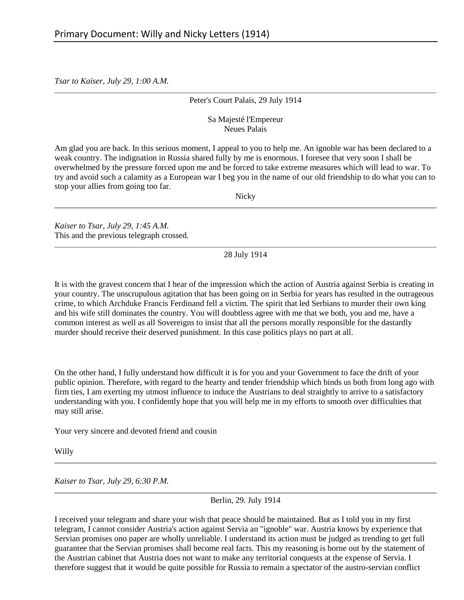*Tsar to Kaiser, July 29, 1:00 A.M.* 

Peter's Court Palais, 29 July 1914

Sa Majesté l'Empereur Neues Palais

Am glad you are back. In this serious moment, I appeal to you to help me. An ignoble war has been declared to a weak country. The indignation in Russia shared fully by me is enormous. I foresee that very soon I shall be overwhelmed by the pressure forced upon me and be forced to take extreme measures which will lead to war. To try and avoid such a calamity as a European war I beg you in the name of our old friendship to do what you can to stop your allies from going too far.

Nicky

*Kaiser to Tsar, July 29, 1:45 A.M.* This and the previous telegraph crossed.

28 July 1914

It is with the gravest concern that I hear of the impression which the action of Austria against Serbia is creating in your country. The unscrupulous agitation that has been going on in Serbia for years has resulted in the outrageous crime, to which Archduke Francis Ferdinand fell a victim. The spirit that led Serbians to murder their own king and his wife still dominates the country. You will doubtless agree with me that we both, you and me, have a common interest as well as all Sovereigns to insist that all the persons morally responsible for the dastardly murder should receive their deserved punishment. In this case politics plays no part at all.

On the other hand, I fully understand how difficult it is for you and your Government to face the drift of your public opinion. Therefore, with regard to the hearty and tender friendship which binds us both from long ago with firm ties, I am exerting my utmost influence to induce the Austrians to deal straightly to arrive to a satisfactory understanding with you. I confidently hope that you will help me in my efforts to smooth over difficulties that may still arise.

Your very sincere and devoted friend and cousin

Willy

*Kaiser to Tsar, July 29, 6:30 P.M.* 

Berlin, 29. July 1914

I received your telegram and share your wish that peace should be maintained. But as I told you in my first telegram, I cannot consider Austria's action against Servia an "ignoble" war. Austria knows by experience that Servian promises ono paper are wholly unreliable. I understand its action must be judged as trending to get full guarantee that the Servian promises shall become real facts. This my reasoning is borne out by the statement of the Austrian cabinet that Austria does not want to make any territorial conquests at the expense of Servia. I therefore suggest that it would be quite possible for Russia to remain a spectator of the austro-servian conflict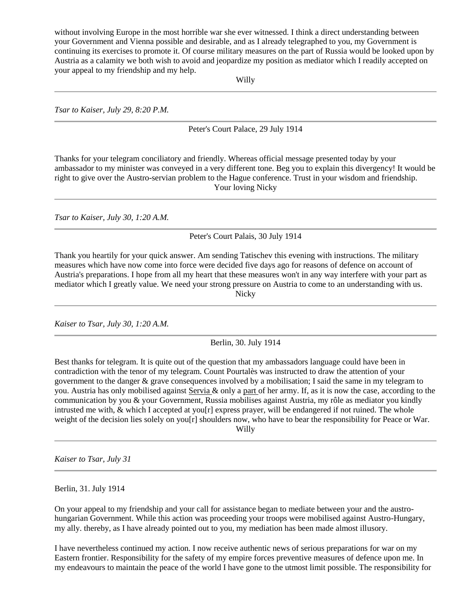without involving Europe in the most horrible war she ever witnessed. I think a direct understanding between your Government and Vienna possible and desirable, and as I already telegraphed to you, my Government is continuing its exercises to promote it. Of course military measures on the part of Russia would be looked upon by Austria as a calamity we both wish to avoid and jeopardize my position as mediator which I readily accepted on your appeal to my friendship and my help.

Willy

*Tsar to Kaiser, July 29, 8:20 P.M.* 

Peter's Court Palace, 29 July 1914

Thanks for your telegram conciliatory and friendly. Whereas official message presented today by your ambassador to my minister was conveyed in a very different tone. Beg you to explain this divergency! It would be right to give over the Austro-servian problem to the Hague conference. Trust in your wisdom and friendship. Your loving Nicky

*Tsar to Kaiser, July 30, 1:20 A.M.* 

Peter's Court Palais, 30 July 1914

Thank you heartily for your quick answer. Am sending Tatischev this evening with instructions. The military measures which have now come into force were decided five days ago for reasons of defence on account of Austria's preparations. I hope from all my heart that these measures won't in any way interfere with your part as mediator which I greatly value. We need your strong pressure on Austria to come to an understanding with us.

Nicky

*Kaiser to Tsar, July 30, 1:20 A.M.* 

Berlin, 30. July 1914

Best thanks for telegram. It is quite out of the question that my ambassadors language could have been in contradiction with the tenor of my telegram. Count Pourtalès was instructed to draw the attention of your government to the danger & grave consequences involved by a mobilisation; I said the same in my telegram to you. Austria has only mobilised against Servia & only a part of her army. If, as it is now the case, according to the communication by you & your Government, Russia mobilises against Austria, my rôle as mediator you kindly intrusted me with, & which I accepted at you[r] express prayer, will be endangered if not ruined. The whole weight of the decision lies solely on you[r] shoulders now, who have to bear the responsibility for Peace or War.

Willy

*Kaiser to Tsar, July 31*

Berlin, 31. July 1914

On your appeal to my friendship and your call for assistance began to mediate between your and the austrohungarian Government. While this action was proceeding your troops were mobilised against Austro-Hungary, my ally. thereby, as I have already pointed out to you, my mediation has been made almost illusory.

I have nevertheless continued my action. I now receive authentic news of serious preparations for war on my Eastern frontier. Responsibility for the safety of my empire forces preventive measures of defence upon me. In my endeavours to maintain the peace of the world I have gone to the utmost limit possible. The responsibility for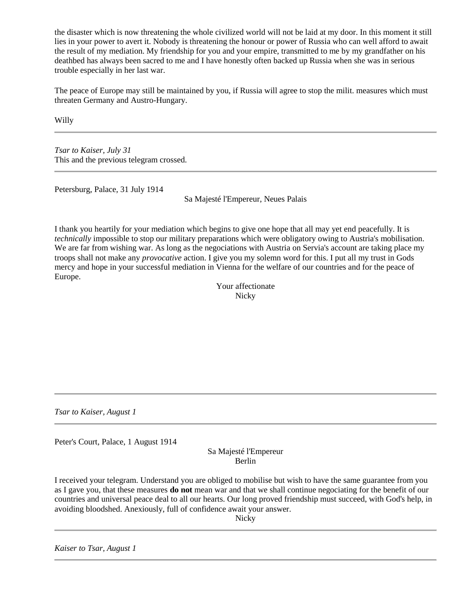the disaster which is now threatening the whole civilized world will not be laid at my door. In this moment it still lies in your power to avert it. Nobody is threatening the honour or power of Russia who can well afford to await the result of my mediation. My friendship for you and your empire, transmitted to me by my grandfather on his deathbed has always been sacred to me and I have honestly often backed up Russia when she was in serious trouble especially in her last war.

The peace of Europe may still be maintained by you, if Russia will agree to stop the milit. measures which must threaten Germany and Austro-Hungary.

Willy

*Tsar to Kaiser, July 31* This and the previous telegram crossed.

Petersburg, Palace, 31 July 1914

Sa Majesté l'Empereur, Neues Palais

I thank you heartily for your mediation which begins to give one hope that all may yet end peacefully. It is *technically* impossible to stop our military preparations which were obligatory owing to Austria's mobilisation. We are far from wishing war. As long as the negociations with Austria on Servia's account are taking place my troops shall not make any *provocative* action. I give you my solemn word for this. I put all my trust in Gods mercy and hope in your successful mediation in Vienna for the welfare of our countries and for the peace of Europe.

> Your affectionate Nicky

*Tsar to Kaiser, August 1*

Peter's Court, Palace, 1 August 1914

Sa Majesté l'Empereur Berlin

I received your telegram. Understand you are obliged to mobilise but wish to have the same guarantee from you as I gave you, that these measures **do not** mean war and that we shall continue negociating for the benefit of our countries and universal peace deal to all our hearts. Our long proved friendship must succeed, with God's help, in avoiding bloodshed. Anexiously, full of confidence await your answer.

**Nicky** 

*Kaiser to Tsar, August 1*